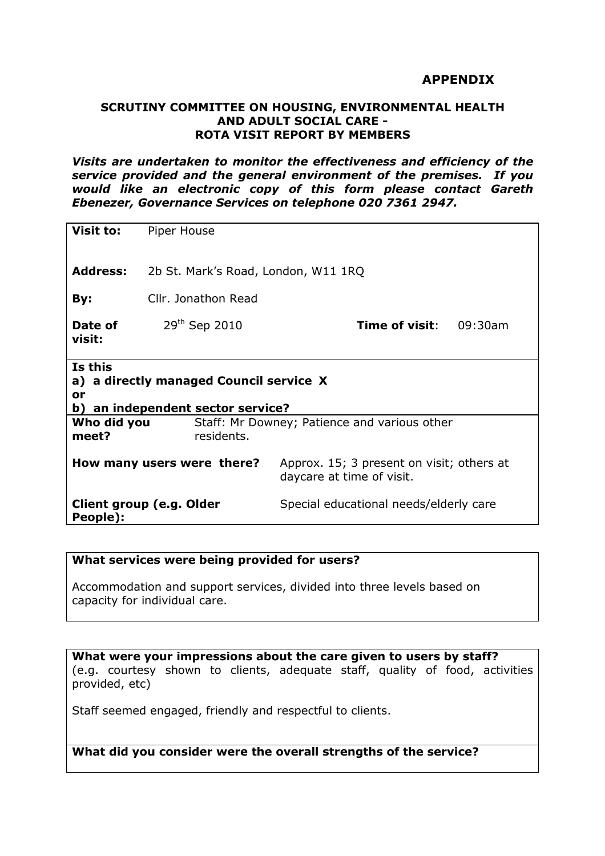### **APPENDIX**

#### **SCRUTINY COMMITTEE ON HOUSING, ENVIRONMENTAL HEALTH AND ADULT SOCIAL CARE - ROTA VISIT REPORT BY MEMBERS**

*Visits are undertaken to monitor the effectiveness and efficiency of the service provided and the general environment of the premises. If you would like an electronic copy of this form please contact Gareth Ebenezer, Governance Services on telephone 020 7361 2947.* 

| Visit to:                                                                                     | Piper House                                                |                                                                        |         |
|-----------------------------------------------------------------------------------------------|------------------------------------------------------------|------------------------------------------------------------------------|---------|
| <b>Address:</b>                                                                               | 2b St. Mark's Road, London, W11 1RQ                        |                                                                        |         |
| By:                                                                                           | Cllr. Jonathon Read                                        |                                                                        |         |
| Date of<br>visit:                                                                             | 29 <sup>th</sup> Sep 2010                                  | Time of visit:                                                         | 09:30am |
| Is this<br>a) a directly managed Council service X<br>or<br>b) an independent sector service? |                                                            |                                                                        |         |
| Who did you<br>meet?                                                                          | Staff: Mr Downey; Patience and various other<br>residents. |                                                                        |         |
| How many users were there?                                                                    |                                                            | Approx. 15; 3 present on visit; others at<br>daycare at time of visit. |         |
| Client group (e.g. Older<br>People):                                                          |                                                            | Special educational needs/elderly care                                 |         |

#### **What services were being provided for users?**

Accommodation and support services, divided into three levels based on capacity for individual care.

**What were your impressions about the care given to users by staff?** (e.g. courtesy shown to clients, adequate staff, quality of food, activities provided, etc)

Staff seemed engaged, friendly and respectful to clients.

**What did you consider were the overall strengths of the service?**